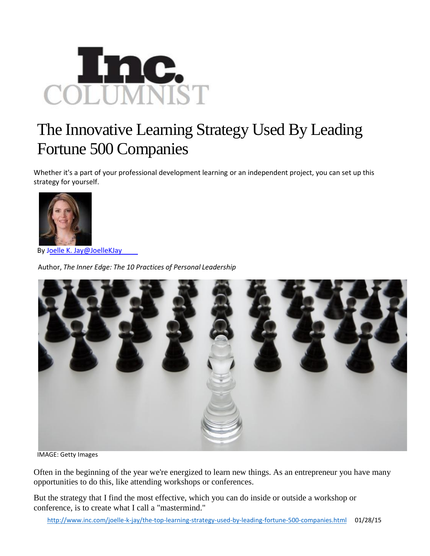

## The Innovative Learning Strategy Used By Leading Fortune 500 Companies

Whether it's a part of your professional development learning or an independent project, you can set up this strategy for yourself.



By Joelle K. Jay@JoelleKJay

Author, *The Inner Edge: The 10 Practices of Personal Leadership*



IMAGE: Getty Images

Often in the beginning of the year we're energized to learn new things. As an entrepreneur you have many opportunities to do this, like attending workshops or conferences.

But the strategy that I find the most effective, which you can do inside or outside a workshop or conference, is to create what I call a "mastermind."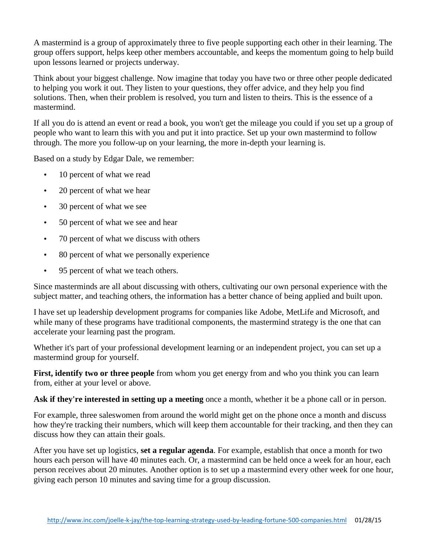A mastermind is a group of approximately three to five people supporting each other in their learning. The group offers support, helps keep other members accountable, and keeps the momentum going to help build upon lessons learned or projects underway.

Think about your biggest challenge. Now imagine that today you have two or three other people dedicated to helping you work it out. They listen to your questions, they offer advice, and they help you find solutions. Then, when their problem is resolved, you turn and listen to theirs. This is the essence of a mastermind.

If all you do is attend an event or read a book, you won't get the mileage you could if you set up a group of people who want to learn this with you and put it into practice. Set up your own mastermind to follow through. The more you follow-up on your learning, the more in-depth your learning is.

Based on a study by Edgar Dale, we remember:

- 10 percent of what we read
- 20 percent of what we hear
- 30 percent of what we see
- 50 percent of what we see and hear
- 70 percent of what we discuss with others
- 80 percent of what we personally experience
- 95 percent of what we teach others.

Since masterminds are all about discussing with others, cultivating our own personal experience with the subject matter, and teaching others, the information has a better chance of being applied and built upon.

I have set up leadership development programs for companies like Adobe, MetLife and Microsoft, and while many of these programs have traditional components, the mastermind strategy is the one that can accelerate your learning past the program.

Whether it's part of your professional development learning or an independent project, you can set up a mastermind group for yourself.

**First, identify two or three people** from whom you get energy from and who you think you can learn from, either at your level or above.

**Ask if they're interested in setting up a meeting** once a month, whether it be a phone call or in person.

For example, three saleswomen from around the world might get on the phone once a month and discuss how they're tracking their numbers, which will keep them accountable for their tracking, and then they can discuss how they can attain their goals.

After you have set up logistics, **set a regular agenda**. For example, establish that once a month for two hours each person will have 40 minutes each. Or, a mastermind can be held once a week for an hour, each person receives about 20 minutes. Another option is to set up a mastermind every other week for one hour, giving each person 10 minutes and saving time for a group discussion.